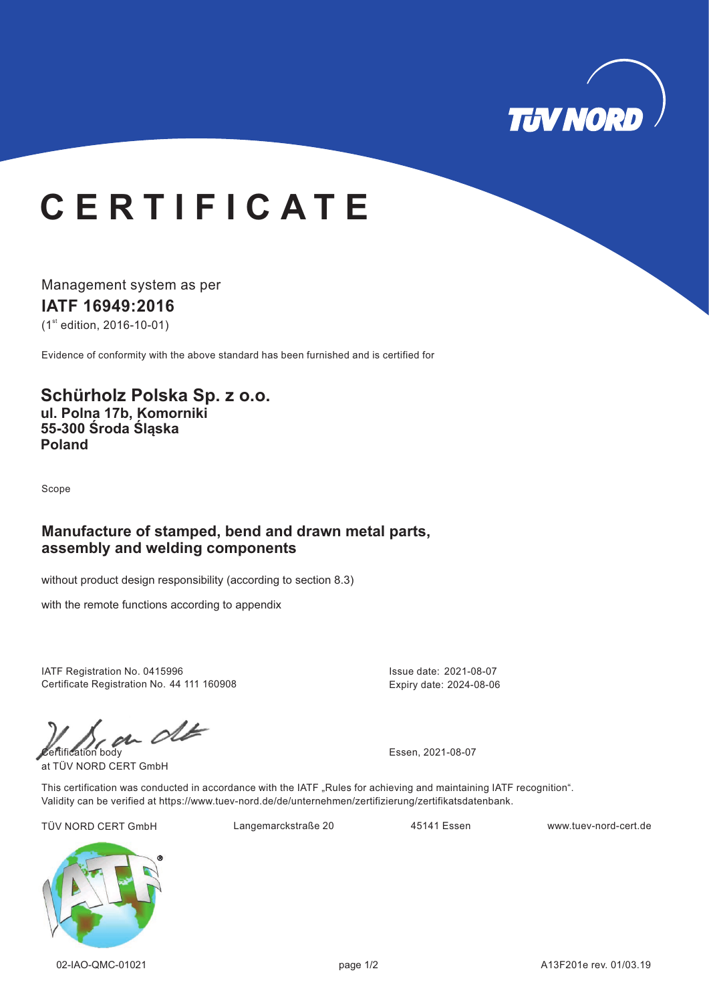

# **C E R T I F I C A T E**

Management system as per **IATF 16949:2016**  $(1<sup>st</sup>$  edition, 2016-10-01)

Evidence of conformity with the above standard has been furnished and is certified for

#### **Schürholz Polska Sp. z o.o. ul. Polna 17b, Komorniki 55-300 Środa Śląska Poland**

Scope

### **Manufacture of stamped, bend and drawn metal parts, assembly and welding components**

without product design responsibility (according to section 8.3)

with the remote functions according to appendix

IATF Registration No. 0415996 Certificate Registration No. 44 111 160908

 $\mathcal{C}$  and  $\mathcal{C}$ 

at TÜV NORD CERT GmbH

Issue date: 2021-08-07 Expiry date: 2024-08-06

This certification was conducted in accordance with the IATF "Rules for achieving and maintaining IATF recognition". Validity can be verified at https://www.tuev-nord.de/de/unternehmen/zertifizierung/zertifikatsdatenbank.

TÜV NORD CERT GmbH Langemarckstraße 20 45141 Essen www.tuev-nord-cert.de